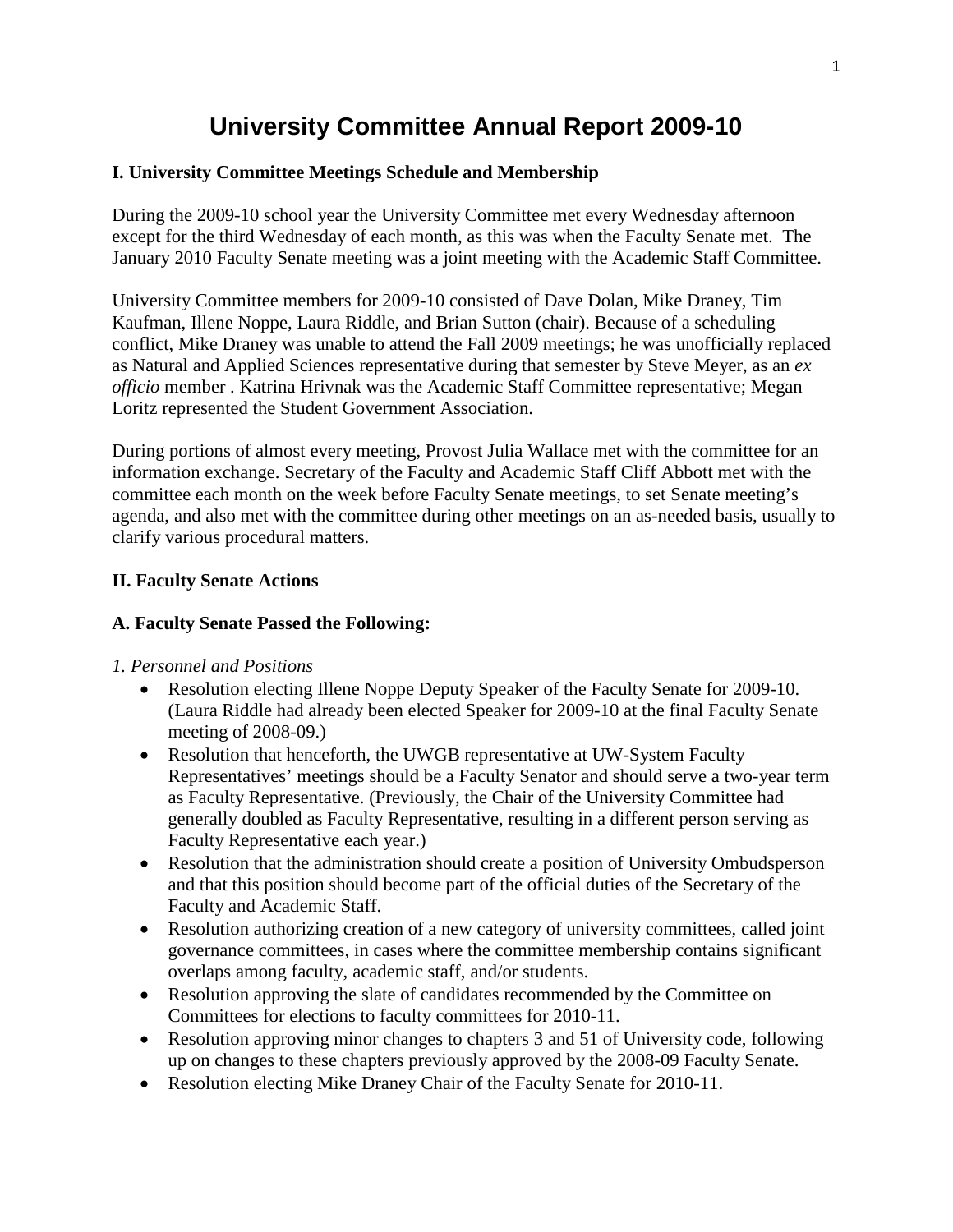# **University Committee Annual Report 2009-10**

#### **I. University Committee Meetings Schedule and Membership**

During the 2009-10 school year the University Committee met every Wednesday afternoon except for the third Wednesday of each month, as this was when the Faculty Senate met. The January 2010 Faculty Senate meeting was a joint meeting with the Academic Staff Committee.

University Committee members for 2009-10 consisted of Dave Dolan, Mike Draney, Tim Kaufman, Illene Noppe, Laura Riddle, and Brian Sutton (chair). Because of a scheduling conflict, Mike Draney was unable to attend the Fall 2009 meetings; he was unofficially replaced as Natural and Applied Sciences representative during that semester by Steve Meyer, as an *ex officio* member . Katrina Hrivnak was the Academic Staff Committee representative; Megan Loritz represented the Student Government Association.

During portions of almost every meeting, Provost Julia Wallace met with the committee for an information exchange. Secretary of the Faculty and Academic Staff Cliff Abbott met with the committee each month on the week before Faculty Senate meetings, to set Senate meeting's agenda, and also met with the committee during other meetings on an as-needed basis, usually to clarify various procedural matters.

# **II. Faculty Senate Actions**

### **A. Faculty Senate Passed the Following:**

#### *1. Personnel and Positions*

- Resolution electing Illene Noppe Deputy Speaker of the Faculty Senate for 2009-10. (Laura Riddle had already been elected Speaker for 2009-10 at the final Faculty Senate meeting of 2008-09.)
- Resolution that henceforth, the UWGB representative at UW-System Faculty Representatives' meetings should be a Faculty Senator and should serve a two-year term as Faculty Representative. (Previously, the Chair of the University Committee had generally doubled as Faculty Representative, resulting in a different person serving as Faculty Representative each year.)
- Resolution that the administration should create a position of University Ombudsperson and that this position should become part of the official duties of the Secretary of the Faculty and Academic Staff.
- Resolution authorizing creation of a new category of university committees, called joint governance committees, in cases where the committee membership contains significant overlaps among faculty, academic staff, and/or students.
- Resolution approving the slate of candidates recommended by the Committee on Committees for elections to faculty committees for 2010-11.
- Resolution approving minor changes to chapters 3 and 51 of University code, following up on changes to these chapters previously approved by the 2008-09 Faculty Senate.
- Resolution electing Mike Draney Chair of the Faculty Senate for 2010-11.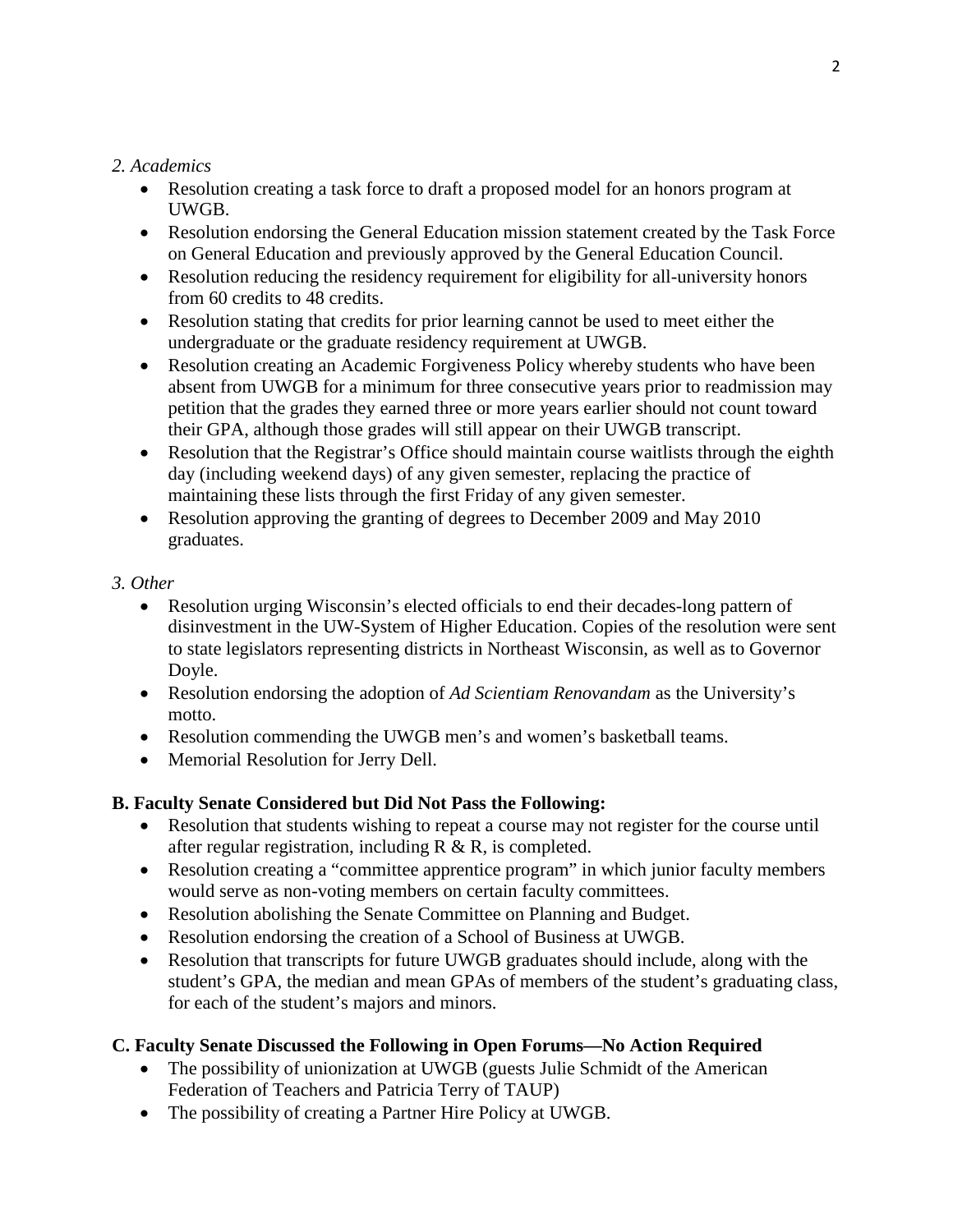# *2. Academics*

- Resolution creating a task force to draft a proposed model for an honors program at UWGB.
- Resolution endorsing the General Education mission statement created by the Task Force on General Education and previously approved by the General Education Council.
- Resolution reducing the residency requirement for eligibility for all-university honors from 60 credits to 48 credits.
- Resolution stating that credits for prior learning cannot be used to meet either the undergraduate or the graduate residency requirement at UWGB.
- Resolution creating an Academic Forgiveness Policy whereby students who have been absent from UWGB for a minimum for three consecutive years prior to readmission may petition that the grades they earned three or more years earlier should not count toward their GPA, although those grades will still appear on their UWGB transcript.
- Resolution that the Registrar's Office should maintain course waitlists through the eighth day (including weekend days) of any given semester, replacing the practice of maintaining these lists through the first Friday of any given semester.
- Resolution approving the granting of degrees to December 2009 and May 2010 graduates.

# *3. Other*

- Resolution urging Wisconsin's elected officials to end their decades-long pattern of disinvestment in the UW-System of Higher Education. Copies of the resolution were sent to state legislators representing districts in Northeast Wisconsin, as well as to Governor Doyle.
- Resolution endorsing the adoption of *Ad Scientiam Renovandam* as the University's motto.
- Resolution commending the UWGB men's and women's basketball teams.
- Memorial Resolution for Jerry Dell.

# **B. Faculty Senate Considered but Did Not Pass the Following:**

- Resolution that students wishing to repeat a course may not register for the course until after regular registration, including  $R \& R$ , is completed.
- Resolution creating a "committee apprentice program" in which junior faculty members would serve as non-voting members on certain faculty committees.
- Resolution abolishing the Senate Committee on Planning and Budget.
- Resolution endorsing the creation of a School of Business at UWGB.
- Resolution that transcripts for future UWGB graduates should include, along with the student's GPA, the median and mean GPAs of members of the student's graduating class, for each of the student's majors and minors.

# **C. Faculty Senate Discussed the Following in Open Forums—No Action Required**

- The possibility of unionization at UWGB (guests Julie Schmidt of the American Federation of Teachers and Patricia Terry of TAUP)
- The possibility of creating a Partner Hire Policy at UWGB.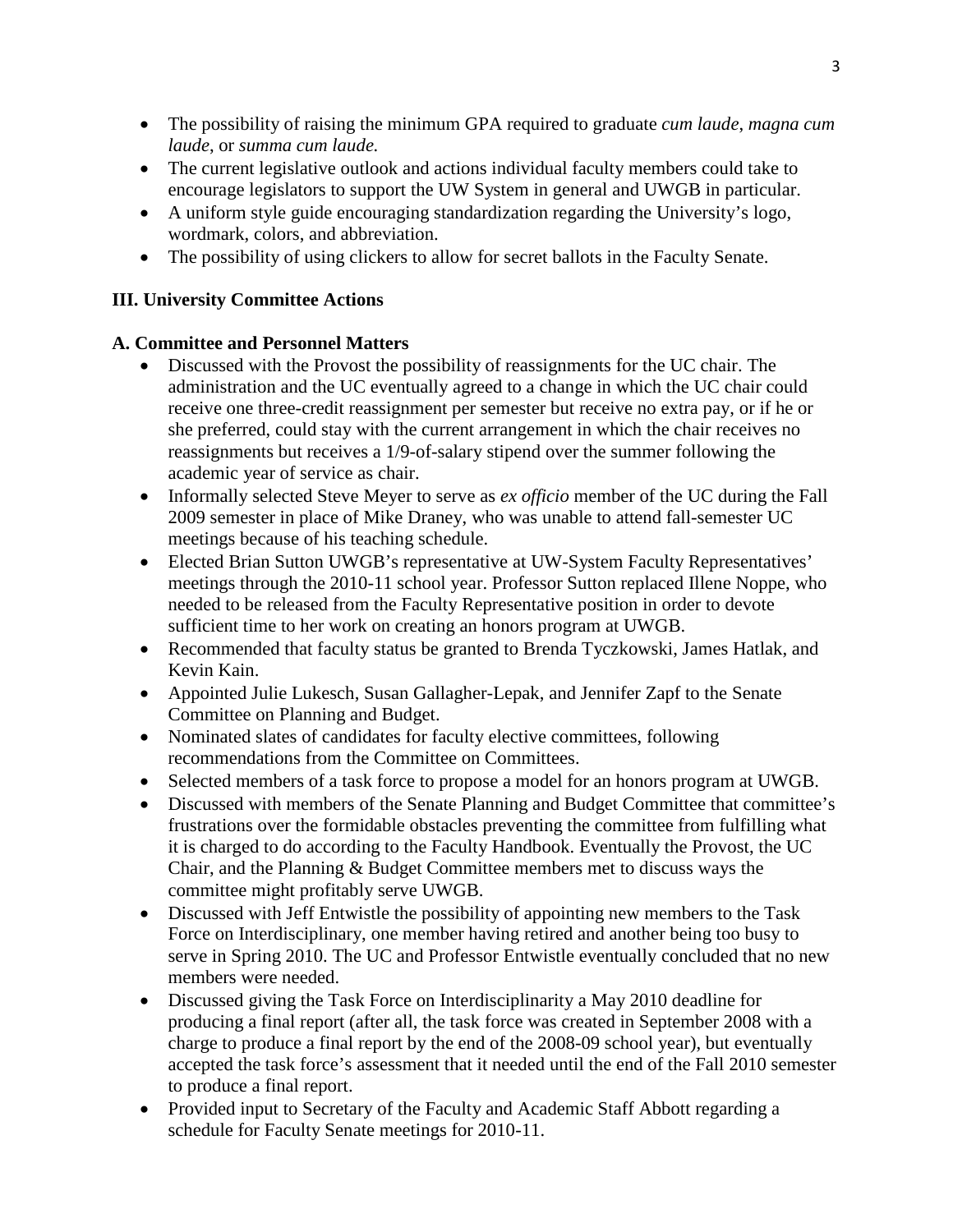- The possibility of raising the minimum GPA required to graduate *cum laude*, *magna cum laude*, or *summa cum laude.*
- The current legislative outlook and actions individual faculty members could take to encourage legislators to support the UW System in general and UWGB in particular.
- A uniform style guide encouraging standardization regarding the University's logo, wordmark, colors, and abbreviation.
- The possibility of using clickers to allow for secret ballots in the Faculty Senate.

# **III. University Committee Actions**

# **A. Committee and Personnel Matters**

- Discussed with the Provost the possibility of reassignments for the UC chair. The administration and the UC eventually agreed to a change in which the UC chair could receive one three-credit reassignment per semester but receive no extra pay, or if he or she preferred, could stay with the current arrangement in which the chair receives no reassignments but receives a 1/9-of-salary stipend over the summer following the academic year of service as chair.
- Informally selected Steve Meyer to serve as *ex officio* member of the UC during the Fall 2009 semester in place of Mike Draney, who was unable to attend fall-semester UC meetings because of his teaching schedule.
- Elected Brian Sutton UWGB's representative at UW-System Faculty Representatives' meetings through the 2010-11 school year. Professor Sutton replaced Illene Noppe, who needed to be released from the Faculty Representative position in order to devote sufficient time to her work on creating an honors program at UWGB.
- Recommended that faculty status be granted to Brenda Tyczkowski, James Hatlak, and Kevin Kain.
- Appointed Julie Lukesch, Susan Gallagher-Lepak, and Jennifer Zapf to the Senate Committee on Planning and Budget.
- Nominated slates of candidates for faculty elective committees, following recommendations from the Committee on Committees.
- Selected members of a task force to propose a model for an honors program at UWGB.
- Discussed with members of the Senate Planning and Budget Committee that committee's frustrations over the formidable obstacles preventing the committee from fulfilling what it is charged to do according to the Faculty Handbook. Eventually the Provost, the UC Chair, and the Planning & Budget Committee members met to discuss ways the committee might profitably serve UWGB.
- Discussed with Jeff Entwistle the possibility of appointing new members to the Task Force on Interdisciplinary, one member having retired and another being too busy to serve in Spring 2010. The UC and Professor Entwistle eventually concluded that no new members were needed.
- Discussed giving the Task Force on Interdisciplinarity a May 2010 deadline for producing a final report (after all, the task force was created in September 2008 with a charge to produce a final report by the end of the 2008-09 school year), but eventually accepted the task force's assessment that it needed until the end of the Fall 2010 semester to produce a final report.
- Provided input to Secretary of the Faculty and Academic Staff Abbott regarding a schedule for Faculty Senate meetings for 2010-11.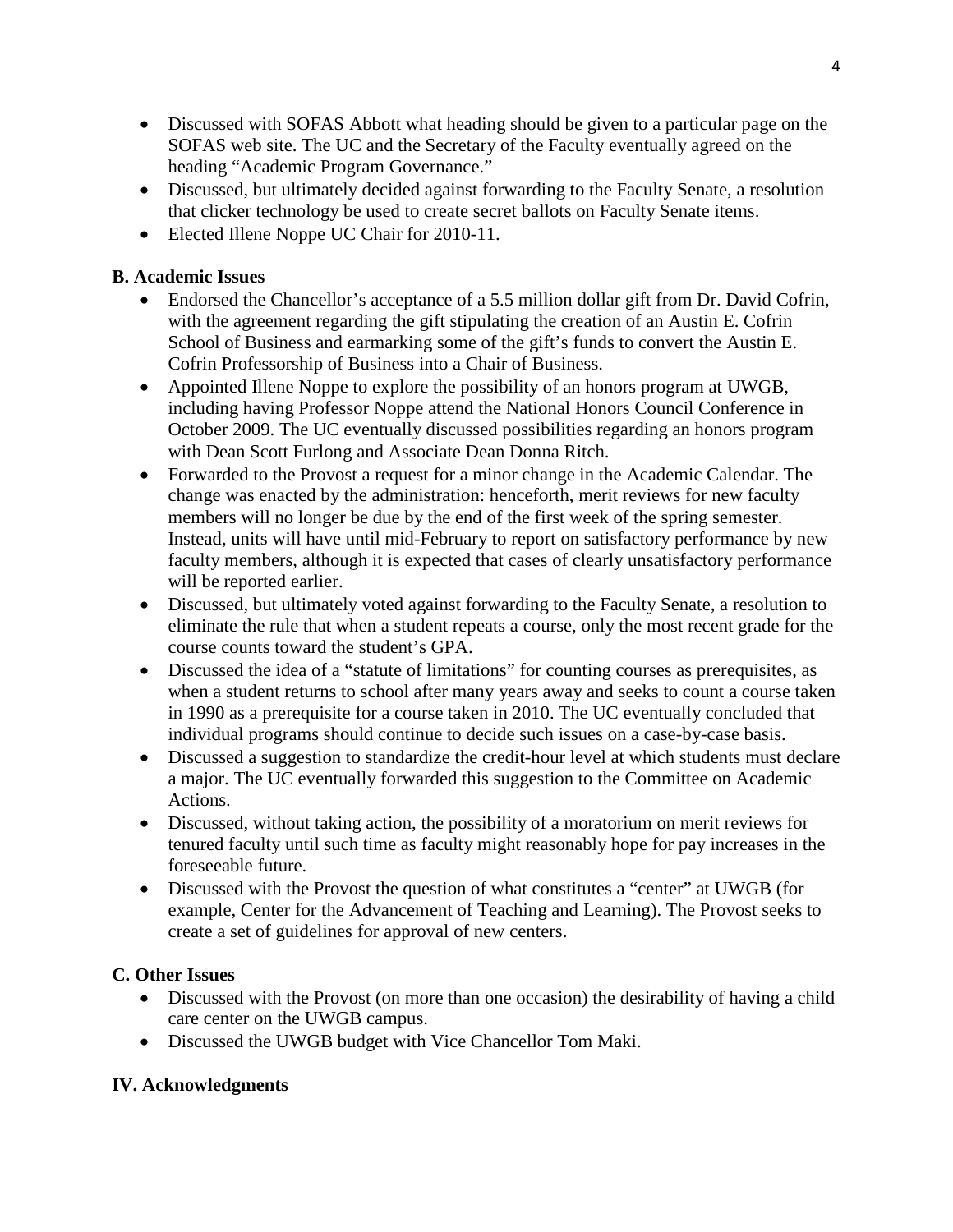- Discussed with SOFAS Abbott what heading should be given to a particular page on the SOFAS web site. The UC and the Secretary of the Faculty eventually agreed on the heading "Academic Program Governance."
- Discussed, but ultimately decided against forwarding to the Faculty Senate, a resolution that clicker technology be used to create secret ballots on Faculty Senate items.
- Elected Illene Noppe UC Chair for 2010-11.

# **B. Academic Issues**

- Endorsed the Chancellor's acceptance of a 5.5 million dollar gift from Dr. David Cofrin, with the agreement regarding the gift stipulating the creation of an Austin E. Cofrin School of Business and earmarking some of the gift's funds to convert the Austin E. Cofrin Professorship of Business into a Chair of Business.
- Appointed Illene Noppe to explore the possibility of an honors program at UWGB, including having Professor Noppe attend the National Honors Council Conference in October 2009. The UC eventually discussed possibilities regarding an honors program with Dean Scott Furlong and Associate Dean Donna Ritch.
- Forwarded to the Provost a request for a minor change in the Academic Calendar. The change was enacted by the administration: henceforth, merit reviews for new faculty members will no longer be due by the end of the first week of the spring semester. Instead, units will have until mid-February to report on satisfactory performance by new faculty members, although it is expected that cases of clearly unsatisfactory performance will be reported earlier.
- Discussed, but ultimately voted against forwarding to the Faculty Senate, a resolution to eliminate the rule that when a student repeats a course, only the most recent grade for the course counts toward the student's GPA.
- Discussed the idea of a "statute of limitations" for counting courses as prerequisites, as when a student returns to school after many years away and seeks to count a course taken in 1990 as a prerequisite for a course taken in 2010. The UC eventually concluded that individual programs should continue to decide such issues on a case-by-case basis.
- Discussed a suggestion to standardize the credit-hour level at which students must declare a major. The UC eventually forwarded this suggestion to the Committee on Academic Actions.
- Discussed, without taking action, the possibility of a moratorium on merit reviews for tenured faculty until such time as faculty might reasonably hope for pay increases in the foreseeable future.
- Discussed with the Provost the question of what constitutes a "center" at UWGB (for example, Center for the Advancement of Teaching and Learning). The Provost seeks to create a set of guidelines for approval of new centers.

# **C. Other Issues**

- Discussed with the Provost (on more than one occasion) the desirability of having a child care center on the UWGB campus.
- Discussed the UWGB budget with Vice Chancellor Tom Maki.

# **IV. Acknowledgments**